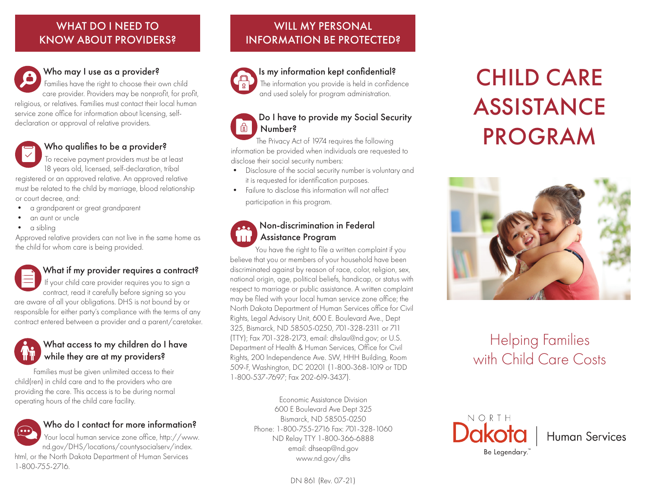## WHAT DO I NEED TO KNOW ABOUT PROVIDERS?



## Who may I use as a provider? Is my information kept confidential?

Families have the right to choose their own child care provider. Providers may be nonprofit, for profit, religious, or relatives. Families must contact their local human service zone office for information about licensing, selfdeclaration or approval of relative providers.



## Who qualifies to be a provider?

To receive payment providers must be at least 18 years old, licensed, self-declaration, tribal registered or an approved relative. An approved relative must be related to the child by marriage, blood relationship or court decree, and:

- a grandparent or great grandparent
- an aunt or uncle
- a sibling

Approved relative providers can not live in the same home as the child for whom care is being provided.

## What if my provider requires a contract?

If your child care provider requires you to sign a contract, read it carefully before signing so you are aware of all your obligations. DHS is not bound by or responsible for either party's compliance with the terms of any contract entered between a provider and a parent/caretaker.

## What access to my children do I have while they are at my providers?

Families must be given unlimited access to their child(ren) in child care and to the providers who are providing the care. This access is to be during normal operating hours of the child care facility.

## Who do I contact for more information?

Your local human service zone office, http://www. nd.gov/DHS/locations/countysocialserv/index. html, or the North Dakota Department of Human Services 1-800-755-2716.

## WILL MY PERSONAL INFORMATION BE PROTECTED?



## The information you provide is held in confidence and used solely for program administration.

### Do I have to provide my Social Security द्वि Number?

The Privacy Act of 1974 requires the following information be provided when individuals are requested to disclose their social security numbers:

- Disclosure of the social security number is voluntary and it is requested for identification purposes.
- Failure to disclose this information will not affect participation in this program.

## Non-discrimination in Federal Assistance Program

You have the right to file a written complaint if you believe that you or members of your household have been discriminated against by reason of race, color, religion, sex, national origin, age, political beliefs, handicap, or status with respect to marriage or public assistance. A written complaint may be filed with your local human service zone office; the North Dakota Department of Human Services office for Civil Rights, Legal Advisory Unit, 600 E. Boulevard Ave., Dept 325, Bismarck, ND 58505-0250, 701-328-2311 or 711 (TTY); Fax 701-328-2173, email: dhslau@nd.gov; or U.S. Department of Health & Human Services, Office for Civil Rights, 200 Independence Ave. SW, HHH Building, Room 509-F, Washington, DC 20201 (1-800-368-1019 or TDD 1-800-537-7697; Fax 202-619-3437).

> Economic Assistance Division 600 E Boulevard Ave Dept 325 Bismarck, ND 58505-0250 Phone: 1-800-755-2716 Fax: 701-328-1060 ND Relay TTY 1-800-366-6888 email: dhseap@nd.gov www.nd.gov/dhs

# CHILD CARE ASSISTANCE PROGRAM



## Helping Families with Child Care Costs



Human Services

DN 861 (Rev. 07-21)